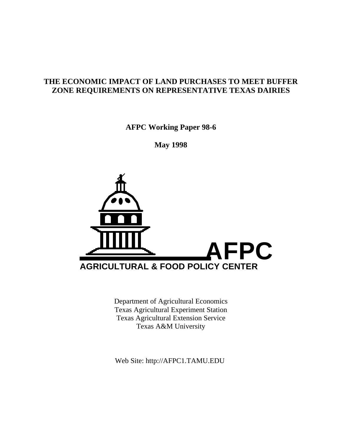# **THE ECONOMIC IMPACT OF LAND PURCHASES TO MEET BUFFER ZONE REQUIREMENTS ON REPRESENTATIVE TEXAS DAIRIES**

**AFPC Working Paper 98-6**

**May 1998**



Department of Agricultural Economics Texas Agricultural Experiment Station Texas Agricultural Extension Service Texas A&M University

Web Site: http://AFPC1.TAMU.EDU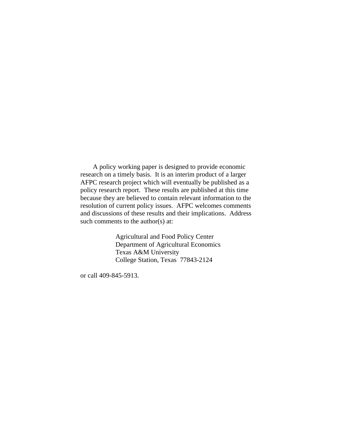A policy working paper is designed to provide economic research on a timely basis. It is an interim product of a larger AFPC research project which will eventually be published as a policy research report. These results are published at this time because they are believed to contain relevant information to the resolution of current policy issues. AFPC welcomes comments and discussions of these results and their implications. Address such comments to the author(s) at:

> Agricultural and Food Policy Center Department of Agricultural Economics Texas A&M University College Station, Texas 77843-2124

or call 409-845-5913.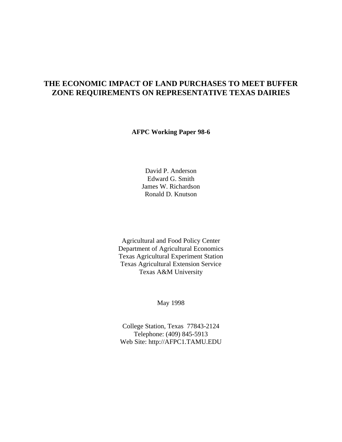# **THE ECONOMIC IMPACT OF LAND PURCHASES TO MEET BUFFER ZONE REQUIREMENTS ON REPRESENTATIVE TEXAS DAIRIES**

**AFPC Working Paper 98-6**

David P. Anderson Edward G. Smith James W. Richardson Ronald D. Knutson

Agricultural and Food Policy Center Department of Agricultural Economics Texas Agricultural Experiment Station Texas Agricultural Extension Service Texas A&M University

May 1998

College Station, Texas 77843-2124 Telephone: (409) 845-5913 Web Site: http://AFPC1.TAMU.EDU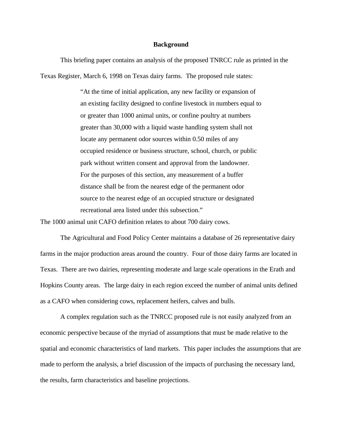#### **Background**

This briefing paper contains an analysis of the proposed TNRCC rule as printed in the Texas Register, March 6, 1998 on Texas dairy farms. The proposed rule states:

> "At the time of initial application, any new facility or expansion of an existing facility designed to confine livestock in numbers equal to or greater than 1000 animal units, or confine poultry at numbers greater than 30,000 with a liquid waste handling system shall not locate any permanent odor sources within 0.50 miles of any occupied residence or business structure, school, church, or public park without written consent and approval from the landowner. For the purposes of this section, any measurement of a buffer distance shall be from the nearest edge of the permanent odor source to the nearest edge of an occupied structure or designated recreational area listed under this subsection."

The 1000 animal unit CAFO definition relates to about 700 dairy cows.

The Agricultural and Food Policy Center maintains a database of 26 representative dairy farms in the major production areas around the country. Four of those dairy farms are located in Texas. There are two dairies, representing moderate and large scale operations in the Erath and Hopkins County areas. The large dairy in each region exceed the number of animal units defined as a CAFO when considering cows, replacement heifers, calves and bulls.

A complex regulation such as the TNRCC proposed rule is not easily analyzed from an economic perspective because of the myriad of assumptions that must be made relative to the spatial and economic characteristics of land markets. This paper includes the assumptions that are made to perform the analysis, a brief discussion of the impacts of purchasing the necessary land, the results, farm characteristics and baseline projections.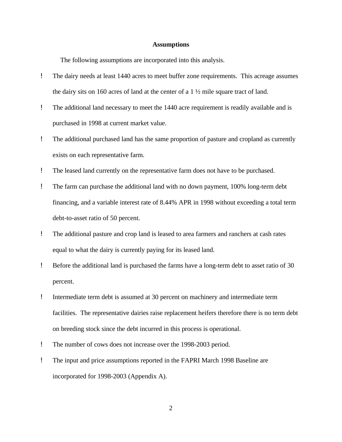#### **Assumptions**

The following assumptions are incorporated into this analysis.

- ! The dairy needs at least 1440 acres to meet buffer zone requirements. This acreage assumes the dairy sits on 160 acres of land at the center of a 1 ½ mile square tract of land.
- ! The additional land necessary to meet the 1440 acre requirement is readily available and is purchased in 1998 at current market value.
- ! The additional purchased land has the same proportion of pasture and cropland as currently exists on each representative farm.
- ! The leased land currently on the representative farm does not have to be purchased.
- ! The farm can purchase the additional land with no down payment, 100% long-term debt financing, and a variable interest rate of 8.44% APR in 1998 without exceeding a total term debt-to-asset ratio of 50 percent.
- ! The additional pasture and crop land is leased to area farmers and ranchers at cash rates equal to what the dairy is currently paying for its leased land.
- ! Before the additional land is purchased the farms have a long-term debt to asset ratio of 30 percent.
- ! Intermediate term debt is assumed at 30 percent on machinery and intermediate term facilities. The representative dairies raise replacement heifers therefore there is no term debt on breeding stock since the debt incurred in this process is operational.
- ! The number of cows does not increase over the 1998-2003 period.
- ! The input and price assumptions reported in the FAPRI March 1998 Baseline are incorporated for 1998-2003 (Appendix A).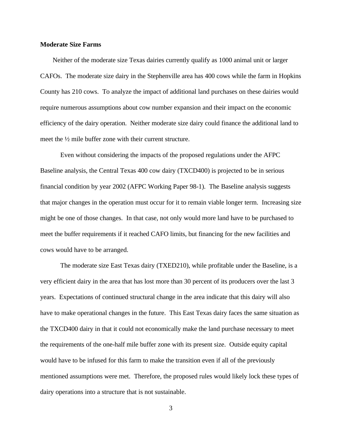#### **Moderate Size Farms**

Neither of the moderate size Texas dairies currently qualify as 1000 animal unit or larger CAFOs. The moderate size dairy in the Stephenville area has 400 cows while the farm in Hopkins County has 210 cows. To analyze the impact of additional land purchases on these dairies would require numerous assumptions about cow number expansion and their impact on the economic efficiency of the dairy operation. Neither moderate size dairy could finance the additional land to meet the ½ mile buffer zone with their current structure.

Even without considering the impacts of the proposed regulations under the AFPC Baseline analysis, the Central Texas 400 cow dairy (TXCD400) is projected to be in serious financial condition by year 2002 (AFPC Working Paper 98-1). The Baseline analysis suggests that major changes in the operation must occur for it to remain viable longer term. Increasing size might be one of those changes. In that case, not only would more land have to be purchased to meet the buffer requirements if it reached CAFO limits, but financing for the new facilities and cows would have to be arranged.

The moderate size East Texas dairy (TXED210), while profitable under the Baseline, is a very efficient dairy in the area that has lost more than 30 percent of its producers over the last 3 years. Expectations of continued structural change in the area indicate that this dairy will also have to make operational changes in the future. This East Texas dairy faces the same situation as the TXCD400 dairy in that it could not economically make the land purchase necessary to meet the requirements of the one-half mile buffer zone with its present size. Outside equity capital would have to be infused for this farm to make the transition even if all of the previously mentioned assumptions were met. Therefore, the proposed rules would likely lock these types of dairy operations into a structure that is not sustainable.

3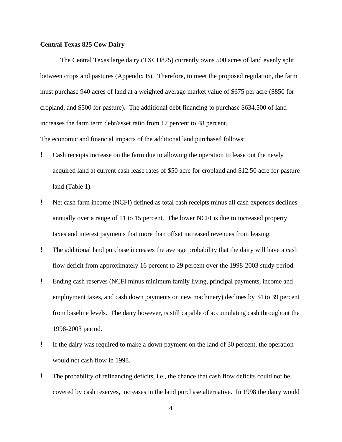### **Central Texas 825 Cow Dairy**

The Central Texas large dairy (TXCD825) currently owns 500 acres of land evenly split between crops and pastures (Appendix B). Therefore, to meet the proposed regulation, the farm must purchase 940 acres of land at a weighted average market value of \$675 per acre (\$850 for cropland, and \$500 for pasture). The additional debt financing to purchase \$634,500 of land increases the farm term debt/asset ratio from 17 percent to 48 percent.

The economic and financial impacts of the additional land purchased follows:

- ! Cash receipts increase on the farm due to allowing the operation to lease out the newly acquired land at current cash lease rates of \$50 acre for cropland and \$12.50 acre for pasture land (Table 1).
- ! Net cash farm income (NCFI) defined as total cash receipts minus all cash expenses declines annually over a range of 11 to 15 percent. The lower NCFI is due to increased property taxes and interest payments that more than offset increased revenues from leasing.
- ! The additional land purchase increases the average probability that the dairy will have a cash flow deficit from approximately 16 percent to 29 percent over the 1998-2003 study period.
- ! Ending cash reserves (NCFI minus minimum family living, principal payments, income and employment taxes, and cash down payments on new machinery) declines by 34 to 39 percent from baseline levels. The dairy however, is still capable of accumulating cash throughout the 1998-2003 period.
- ! If the dairy was required to make a down payment on the land of 30 percent, the operation would not cash flow in 1998.
- ! The probability of refinancing deficits, i.e., the chance that cash flow deficits could not be covered by cash reserves, increases in the land purchase alternative. In 1998 the dairy would

4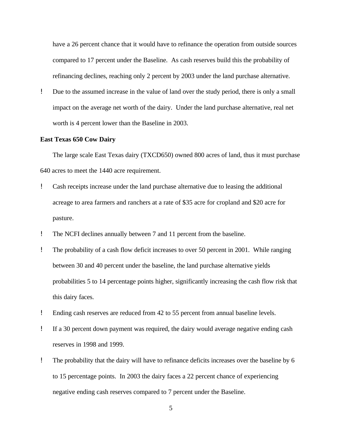have a 26 percent chance that it would have to refinance the operation from outside sources compared to 17 percent under the Baseline. As cash reserves build this the probability of refinancing declines, reaching only 2 percent by 2003 under the land purchase alternative.

! Due to the assumed increase in the value of land over the study period, there is only a small impact on the average net worth of the dairy. Under the land purchase alternative, real net worth is 4 percent lower than the Baseline in 2003.

#### **East Texas 650 Cow Dairy**

The large scale East Texas dairy (TXCD650) owned 800 acres of land, thus it must purchase 640 acres to meet the 1440 acre requirement.

- ! Cash receipts increase under the land purchase alternative due to leasing the additional acreage to area farmers and ranchers at a rate of \$35 acre for cropland and \$20 acre for pasture.
- ! The NCFI declines annually between 7 and 11 percent from the baseline.
- ! The probability of a cash flow deficit increases to over 50 percent in 2001. While ranging between 30 and 40 percent under the baseline, the land purchase alternative yields probabilities 5 to 14 percentage points higher, significantly increasing the cash flow risk that this dairy faces.
- ! Ending cash reserves are reduced from 42 to 55 percent from annual baseline levels.
- ! If a 30 percent down payment was required, the dairy would average negative ending cash reserves in 1998 and 1999.
- ! The probability that the dairy will have to refinance deficits increases over the baseline by 6 to 15 percentage points. In 2003 the dairy faces a 22 percent chance of experiencing negative ending cash reserves compared to 7 percent under the Baseline.

5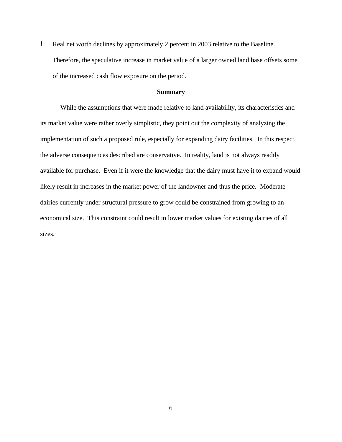! Real net worth declines by approximately 2 percent in 2003 relative to the Baseline. Therefore, the speculative increase in market value of a larger owned land base offsets some of the increased cash flow exposure on the period.

### **Summary**

While the assumptions that were made relative to land availability, its characteristics and its market value were rather overly simplistic, they point out the complexity of analyzing the implementation of such a proposed rule, especially for expanding dairy facilities. In this respect, the adverse consequences described are conservative. In reality, land is not always readily available for purchase. Even if it were the knowledge that the dairy must have it to expand would likely result in increases in the market power of the landowner and thus the price. Moderate dairies currently under structural pressure to grow could be constrained from growing to an economical size. This constraint could result in lower market values for existing dairies of all sizes.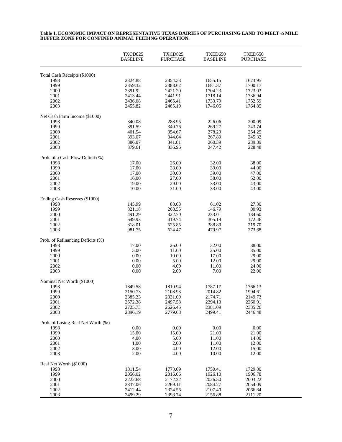|                                       | TXCD825<br><b>BASELINE</b> | TXCD825<br><b>PURCHASE</b> | TXED650<br><b>BASELINE</b> | TXED650<br><b>PURCHASE</b> |  |
|---------------------------------------|----------------------------|----------------------------|----------------------------|----------------------------|--|
| Total Cash Receipts (\$1000)          |                            |                            |                            |                            |  |
| 1998                                  | 2324.88                    | 2354.33                    | 1655.15                    | 1673.95                    |  |
| 1999                                  | 2359.32                    | 2388.62                    | 1681.37                    | 1700.17                    |  |
| 2000                                  | 2391.92                    | 2421.20                    | 1704.23                    | 1723.03                    |  |
| 2001                                  | 2413.44                    | 2441.91                    | 1718.14                    | 1736.94                    |  |
| 2002                                  | 2436.08                    | 2465.41                    | 1733.79                    | 1752.59                    |  |
| 2003                                  | 2455.82                    | 2485.19                    | 1746.05                    | 1764.85                    |  |
| Net Cash Farm Income (\$1000)         |                            |                            |                            |                            |  |
| 1998                                  | 340.08                     | 288.95                     | 226.06                     | 200.09                     |  |
| 1999                                  | 391.59                     | 340.76                     | 269.27                     | 243.74                     |  |
| 2000                                  | 401.54                     | 354.67                     | 278.29                     | 254.25                     |  |
| 2001                                  | 393.07                     | 344.04                     | 267.89                     | 245.32                     |  |
| 2002                                  | 386.07                     | 341.81                     | 260.39                     | 239.39                     |  |
| 2003                                  | 379.61                     | 336.96                     | 247.42                     | 228.48                     |  |
| Prob. of a Cash Flow Deficit (%)      |                            |                            |                            |                            |  |
| 1998<br>1999                          | 17.00                      | 26.00                      | 32.00                      | 38.00                      |  |
| 2000                                  | 17.00                      | 28.00                      | 39.00                      | 44.00<br>47.00             |  |
| 2001                                  | 17.00                      | 30.00                      | 39.00                      | 52.00                      |  |
| 2002                                  | 16.00<br>19.00             | 27.00<br>29.00             | 38.00<br>33.00             | 43.00                      |  |
| 2003                                  | 10.00                      | 31.00                      | 33.00                      | 43.00                      |  |
|                                       |                            |                            |                            |                            |  |
| Ending Cash Reserves (\$1000)<br>1998 | 145.99                     | 88.68                      | 61.02                      | 27.30                      |  |
| 1999                                  | 321.18                     | 208.55                     | 146.79                     | 80.93                      |  |
| 2000                                  | 491.29                     | 322.70                     | 233.01                     | 134.60                     |  |
| 2001                                  | 649.93                     | 419.74                     | 305.19                     | 172.46                     |  |
| 2002                                  | 818.01                     | 525.85                     | 388.89                     | 219.70                     |  |
| 2003                                  | 981.75                     | 624.47                     | 479.97                     | 273.68                     |  |
| Prob. of Refinancing Deficits (%)     |                            |                            |                            |                            |  |
| 1998                                  | 17.00                      | 26.00                      | 32.00                      | 38.00                      |  |
| 1999                                  | 5.00                       | 11.00                      | 25.00                      | 35.00                      |  |
| 2000                                  | 0.00                       | 10.00                      | 17.00                      | 29.00                      |  |
| 2001                                  | 0.00                       | 5.00                       | 12.00                      | 29.00                      |  |
| 2002                                  | 0.00                       | 4.00                       | 11.00                      | 24.00                      |  |
| 2003                                  | 0.00                       | 2.00                       | 7.00                       | 22.00                      |  |
| Nominal Net Worth (\$1000)            |                            |                            |                            |                            |  |
| 1998                                  | 1849.58                    | 1810.94                    | 1787.17                    | 1766.13                    |  |
| 1999                                  | 2150.73                    | 2108.93                    | 2014.82                    | 1994.61                    |  |
| 2000                                  | 2385.23                    | 2331.09                    | 2174.71                    | 2149.73                    |  |
| 2001                                  | 2572.38                    | 2497.58                    | 2294.13                    | 2260.91                    |  |
| 2002                                  | 2725.73                    | 2626.45                    | 2381.09                    | 2335.26                    |  |
| 2003                                  | 2896.19                    | 2779.68                    | 2499.41                    | 2446.48                    |  |
| Prob. of Losing Real Net Worth (%)    |                            |                            |                            |                            |  |
| 1998                                  | 0.00                       | 0.00                       | 0.00                       | 0.00                       |  |
| 1999                                  | 15.00                      | 15.00                      | 21.00                      | 21.00                      |  |
| 2000                                  | 4.00                       | 5.00                       | 11.00                      | 14.00                      |  |
| 2001                                  | 1.00                       | 2.00                       | 11.00                      | 12.00                      |  |
| 2002<br>2003                          | 3.00<br>2.00               | 4.00<br>4.00               | 12.00<br>10.00             | 15.00<br>12.00             |  |
|                                       |                            |                            |                            |                            |  |
| Real Net Worth (\$1000)               | 1811.54                    | 1773.69                    |                            |                            |  |
| 1998<br>1999                          | 2056.02                    | 2016.06                    | 1750.41<br>1926.10         | 1729.80<br>1906.78         |  |
| 2000                                  | 2222.68                    | 2172.22                    | 2026.50                    | 2003.22                    |  |
| 2001                                  | 2337.06                    | 2269.11                    | 2084.27                    | 2054.09                    |  |
| 2002                                  | 2412.44                    | 2324.56                    | 2107.40                    | 2066.84                    |  |
| 2003                                  | 2499.29                    | 2398.74                    | 2156.88                    | 2111.20                    |  |

#### **Table 1. ECONOMIC IMPACT ON REPRESENTATIVE TEXAS DAIRIES OF PURCHASING LAND TO MEET ½ MILE BUFFER ZONE FOR CONFINED ANIMAL FEEDING OPERATION.**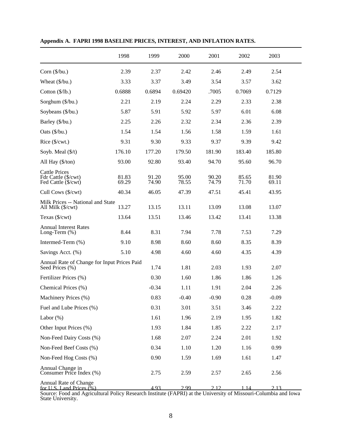|                                                                    | 1998           | 1999           | 2000           | 2001           | 2002           | 2003           |  |
|--------------------------------------------------------------------|----------------|----------------|----------------|----------------|----------------|----------------|--|
| Corn (\$/bu.)                                                      | 2.39           | 2.37           | 2.42           | 2.46           | 2.49           | 2.54           |  |
| Wheat $(\frac{6}{bu})$                                             | 3.33           | 3.37           | 3.49           | 3.54           | 3.57           | 3.62           |  |
| Cotton $(\frac{5}{lb})$                                            | 0.6888         | 0.6894         | 0.69420        | .7005          | 0.7069         | 0.7129         |  |
| Sorghum (\$/bu.)                                                   | 2.21           | 2.19           | 2.24           | 2.29           | 2.33           | 2.38           |  |
| Soybeans (\$/bu.)                                                  | 5.87           | 5.91           | 5.92           | 5.97           | 6.01           | 6.08           |  |
| Barley (\$/bu.)                                                    | 2.25           | 2.26           | 2.32           | 2.34           | 2.36           | 2.39           |  |
| Oats (\$/bu.)                                                      | 1.54           | 1.54           | 1.56           | 1.58           | 1.59           | 1.61           |  |
| Rice (\$/cwt.)                                                     | 9.31           | 9.30           | 9.33           | 9.37           | 9.39           | 9.42           |  |
| Soyb. Meal $(\frac{f}{t})$                                         | 176.10         | 177.20         | 179.50         | 181.90         | 183.40         | 185.80         |  |
| All Hay (\$/ton)                                                   | 93.00          | 92.80          | 93.40          | 94.70          | 95.60          | 96.70          |  |
| <b>Cattle Prices</b><br>Fdr Cattle (\$/cwt)<br>Fed Cattle (\$/cwt) | 81.83<br>69.29 | 91.20<br>74.90 | 95.00<br>78.55 | 90.20<br>74.79 | 85.65<br>71.70 | 81.90<br>69.11 |  |
| Cull Cows (\$/cwt)                                                 | 40.34          | 46.05          | 47.39          | 47.51          | 45.41          | 43.95          |  |
| Milk Prices -- National and State<br>All Milk (\$/cwt)             | 13.27          | 13.15          | 13.11          | 13.09          | 13.08          | 13.07          |  |
| Texas (\$/cwt)                                                     | 13.64          | 13.51          | 13.46          | 13.42          | 13.41          | 13.38          |  |
| <b>Annual Interest Rates</b><br>Long-Term (%)                      | 8.44           | 8.31           | 7.94           | 7.78           | 7.53           | 7.29           |  |
| Intermed-Term (%)                                                  | 9.10           | 8.98           | 8.60           | 8.60           | 8.35           | 8.39           |  |
| Savings Acct. (%)                                                  | 5.10           | 4.98           | 4.60           | 4.60           | 4.35           | 4.39           |  |
| Annual Rate of Change for Input Prices Paid<br>Seed Prices (%)     |                | 1.74           | 1.81           | 2.03           | 1.93           | 2.07           |  |
| Fertilizer Prices (%)                                              |                | 0.30           | 1.60           | 1.86           | 1.86           | 1.26           |  |
| Chemical Prices (%)                                                |                | $-0.34$        | 1.11           | 1.91           | 2.04           | 2.26           |  |
| Machinery Prices (%)                                               |                | 0.83           | $-0.40$        | $-0.90$        | 0.28           | $-0.09$        |  |
| Fuel and Lube Prices (%)                                           |                | 0.31           | 3.01           | 3.51           | 3.46           | 2.22           |  |
| Labor $(\%)$                                                       |                | 1.61           | 1.96           | 2.19           | 1.95           | 1.82           |  |
| Other Input Prices (%)                                             |                | 1.93           | 1.84           | 1.85           | 2.22           | 2.17           |  |
| Non-Feed Dairy Costs (%)                                           |                | 1.68           | 2.07           | 2.24           | 2.01           | 1.92           |  |
| Non-Feed Beef Costs (%)                                            |                | 0.34           | 1.10           | 1.20           | 1.16           | 0.99           |  |
| Non-Feed Hog Costs (%)                                             |                | 0.90           | 1.59           | 1.69           | 1.61           | 1.47           |  |
| Annual Change in<br>Consumer Price Index (%)                       |                | 2.75           | 2.59           | 2.57           | 2.65           | 2.56           |  |
| Annual Rate of Change<br>for U.S. Land Prices $(% )$               |                | 4.93           | 2.99           | 212            |                | 2.13           |  |

**Appendix A. FAPRI 1998 BASELINE PRICES, INTEREST, AND INFLATION RATES.**

Source: Food and Agricultural Policy Research Institute (FAPRI) at the University of Missouri-Columbia and Iowa State University.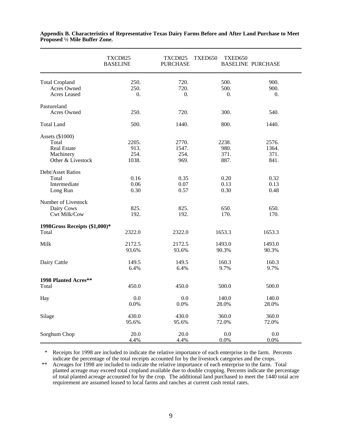|                                                                                  | TXCD825<br><b>BASELINE</b>     | TXCD825<br><b>PURCHASE</b>     | TXED650<br>TXED650            | <b>BASELINE PURCHASE</b>         |
|----------------------------------------------------------------------------------|--------------------------------|--------------------------------|-------------------------------|----------------------------------|
| <b>Total Cropland</b><br>Acres Owned<br>Acres Leased                             | 250.<br>250.<br>0.             | 720.<br>720.<br>0.             | 500.<br>500.<br>0.            | 900.<br>900.<br>$\overline{0}$ . |
| Pastureland<br>Acres Owned                                                       | 250.                           | 720.                           | 300.                          | 540.                             |
| <b>Total Land</b>                                                                | 500.                           | 1440.                          | 800.                          | 1440.                            |
| Assets (\$1000)<br>Total<br><b>Real Estate</b><br>Machinery<br>Other & Livestock | 2205.<br>913.<br>254.<br>1038. | 2770.<br>1547.<br>254.<br>969. | 2238.<br>980.<br>371.<br>887. | 2576.<br>1364.<br>371.<br>841.   |
| Debt/Asset Ratios<br>Total<br>Intermediate<br>Long Run                           | 0.16<br>0.06<br>0.30           | 0.35<br>0.07<br>0.57           | 0.20<br>0.13<br>0.30          | 0.32<br>0.13<br>0.48             |
| Number of Livestock<br>Dairy Cows<br>Cwt Milk/Cow                                | 825.<br>192.                   | 825.<br>192.                   | 650.<br>170.                  | 650.<br>170.                     |
| 1998Gross Receipts (\$1,000)*<br>Total                                           | 2322.0                         | 2322.0                         | 1653.3                        | 1653.3                           |
| Milk                                                                             | 2172.5<br>93.6%                | 2172.5<br>93.6%                | 1493.0<br>90.3%               | 1493.0<br>90.3%                  |
| Dairy Cattle                                                                     | 149.5<br>6.4%                  | 149.5<br>6.4%                  | 160.3<br>9.7%                 | 160.3<br>9.7%                    |
| 1998 Planted Acres**<br>Total                                                    | 450.0                          | 450.0                          | 500.0                         | 500.0                            |
| Hay                                                                              | 0.0<br>0.0%                    | 0.0<br>0.0%                    | 140.0<br>28.0%                | 140.0<br>28.0%                   |
| Silage                                                                           | 430.0<br>95.6%                 | 430.0<br>95.6%                 | 360.0<br>72.0%                | 360.0<br>72.0%                   |
| Sorghum Chop                                                                     | 20.0<br>4.4%                   | 20.0<br>4.4%                   | 0.0<br>0.0%                   | 0.0<br>0.0%                      |

**Appendix B. Characteristics of Representative Texas Dairy Farms Before and After Land Purchase to Meet Proposed ½ Mile Buffer Zone.** 

 \* Receipts for 1998 are included to indicate the relative importance of each enterprise to the farm. Percents indicate the percentage of the total receipts accounted for by the livestock categories and the crops.

 \*\* Acreages for 1998 are included to indicate the relative importance of each enterprise to the farm. Total planted acreage may exceed total cropland available due to double cropping. Percents indicate the percentage of total planted acreage accounted for by the crop. The additional land purchased to meet the 1440 total acre requirement are assumed leased to local farms and ranches at current cash rental rates.